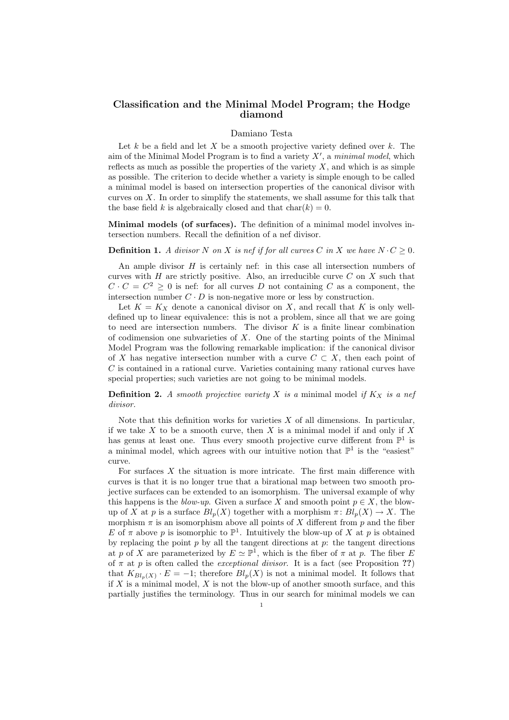## Classification and the Minimal Model Program; the Hodge diamond

## Damiano Testa

Let k be a field and let X be a smooth projective variety defined over  $k$ . The aim of the Minimal Model Program is to find a variety  $X'$ , a minimal model, which reflects as much as possible the properties of the variety  $X$ , and which is as simple as possible. The criterion to decide whether a variety is simple enough to be called a minimal model is based on intersection properties of the canonical divisor with curves on  $X$ . In order to simplify the statements, we shall assume for this talk that the base field k is algebraically closed and that  $char(k) = 0$ .

Minimal models (of surfaces). The definition of a minimal model involves intersection numbers. Recall the definition of a nef divisor.

**Definition 1.** A divisor N on X is nef if for all curves C in X we have  $N \cdot C \geq 0$ .

An ample divisor  $H$  is certainly nef: in this case all intersection numbers of curves with  $H$  are strictly positive. Also, an irreducible curve  $C$  on  $X$  such that  $C \cdot C = C^2 \geq 0$  is nef: for all curves D not containing C as a component, the intersection number  $C \cdot D$  is non-negative more or less by construction.

Let  $K = K_X$  denote a canonical divisor on X, and recall that K is only welldefined up to linear equivalence: this is not a problem, since all that we are going to need are intersection numbers. The divisor  $K$  is a finite linear combination of codimension one subvarieties of  $X$ . One of the starting points of the Minimal Model Program was the following remarkable implication: if the canonical divisor of X has negative intersection number with a curve  $C \subset X$ , then each point of C is contained in a rational curve. Varieties containing many rational curves have special properties; such varieties are not going to be minimal models.

**Definition 2.** A smooth projective variety X is a minimal model if  $K_X$  is a nef divisor.

Note that this definition works for varieties  $X$  of all dimensions. In particular, if we take  $X$  to be a smooth curve, then  $X$  is a minimal model if and only if  $X$ has genus at least one. Thus every smooth projective curve different from  $\mathbb{P}^1$  is a minimal model, which agrees with our intuitive notion that  $\mathbb{P}^1$  is the "easiest" curve.

For surfaces  $X$  the situation is more intricate. The first main difference with curves is that it is no longer true that a birational map between two smooth projective surfaces can be extended to an isomorphism. The universal example of why this happens is the *blow-up*. Given a surface X and smooth point  $p \in X$ , the blowup of X at p is a surface  $Bl_p(X)$  together with a morphism  $\pi: Bl_p(X) \to X$ . The morphism  $\pi$  is an isomorphism above all points of X different from p and the fiber E of  $\pi$  above p is isomorphic to  $\mathbb{P}^1$ . Intuitively the blow-up of X at p is obtained by replacing the point  $p$  by all the tangent directions at  $p$ : the tangent directions at p of X are parameterized by  $E \simeq \mathbb{P}^1$ , which is the fiber of  $\pi$  at p. The fiber E of  $\pi$  at p is often called the *exceptional divisor*. It is a fact (see Proposition ??) that  $K_{Bl_p(X)} \cdot E = -1$ ; therefore  $Bl_p(X)$  is not a minimal model. It follows that if  $X$  is a minimal model,  $X$  is not the blow-up of another smooth surface, and this partially justifies the terminology. Thus in our search for minimal models we can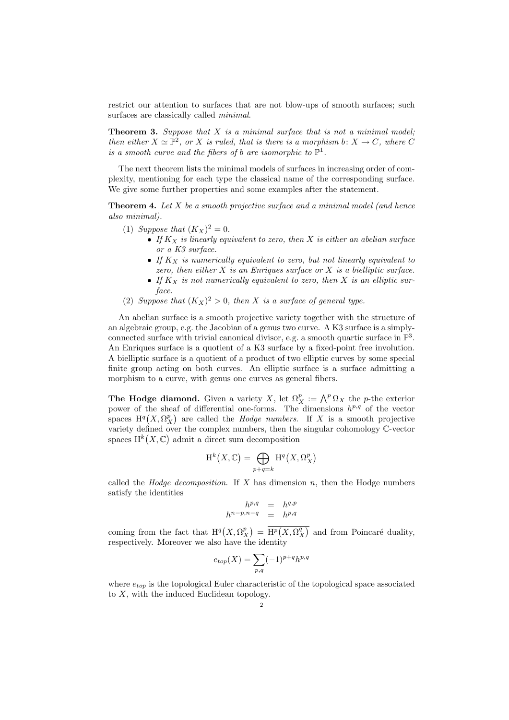restrict our attention to surfaces that are not blow-ups of smooth surfaces; such surfaces are classically called *minimal*.

**Theorem 3.** Suppose that  $X$  is a minimal surface that is not a minimal model: then either  $X \simeq \mathbb{P}^2$ , or X is ruled, that is there is a morphism b:  $X \to C$ , where C is a smooth curve and the fibers of b are isomorphic to  $\mathbb{P}^1$ .

The next theorem lists the minimal models of surfaces in increasing order of complexity, mentioning for each type the classical name of the corresponding surface. We give some further properties and some examples after the statement.

**Theorem 4.** Let  $X$  be a smooth projective surface and a minimal model (and hence also minimal).

- (1) Suppose that  $(K_X)^2 = 0$ .
	- If  $K_X$  is linearly equivalent to zero, then X is either an abelian surface or a K3 surface.
	- If  $K_X$  is numerically equivalent to zero, but not linearly equivalent to zero, then either  $X$  is an Enriques surface or  $X$  is a bielliptic surface.
	- If  $K_X$  is not numerically equivalent to zero, then X is an elliptic surface.
- (2) Suppose that  $(K_X)^2 > 0$ , then X is a surface of general type.

An abelian surface is a smooth projective variety together with the structure of an algebraic group, e.g. the Jacobian of a genus two curve. A K3 surface is a simplyconnected surface with trivial canonical divisor, e.g. a smooth quartic surface in  $\mathbb{P}^3$ . An Enriques surface is a quotient of a K3 surface by a fixed-point free involution. A bielliptic surface is a quotient of a product of two elliptic curves by some special finite group acting on both curves. An elliptic surface is a surface admitting a morphism to a curve, with genus one curves as general fibers.

**The Hodge diamond.** Given a variety X, let  $\Omega_X^p := \bigwedge^p \Omega_X$  the p-the exterior power of the sheaf of differential one-forms. The dimensions  $h^{p,q}$  of the vector spaces  $H^q(X, \Omega_X^p)$  are called the *Hodge numbers*. If X is a smooth projective variety defined over the complex numbers, then the singular cohomology C-vector spaces  $H^k(X, \mathbb{C})$  admit a direct sum decomposition

$$
H^k(X, \mathbb{C}) = \bigoplus_{p+q=k} H^q(X, \Omega^p_X)
$$

called the *Hodge decomposition*. If X has dimension n, then the Hodge numbers satisfy the identities

$$
h^{p,q} = h^{q,p}
$$

$$
h^{n-p,n-q} = h^{p,q}
$$

coming from the fact that  $H^q(X, \Omega_X^p) = \overline{H^p(X, \Omega_X^q)}$  and from Poincaré duality, respectively. Moreover we also have the identity

$$
e_{top}(X) = \sum_{p,q} (-1)^{p+q} h^{p,q}
$$

where  $e_{top}$  is the topological Euler characteristic of the topological space associated to  $X$ , with the induced Euclidean topology.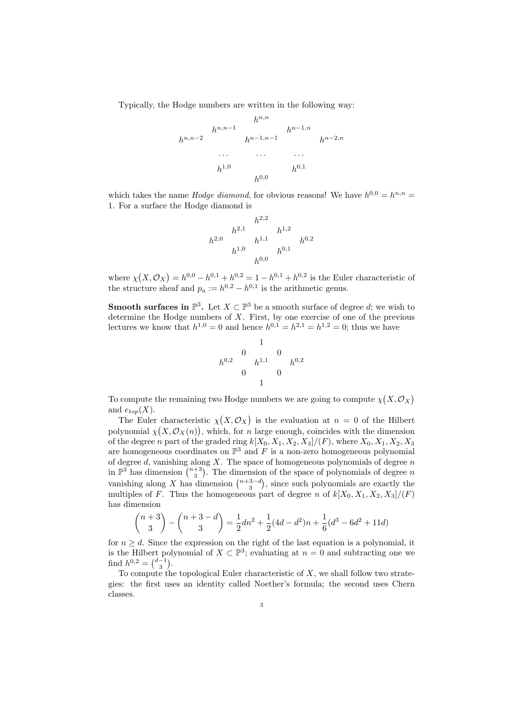Typically, the Hodge numbers are written in the following way:



which takes the name *Hodge diamond*, for obvious reasons! We have  $h^{0,0} = h^{n,n} =$ 1. For a surface the Hodge diamond is

$$
\begin{array}{ccc}\n & & h^{2,2} & & \\
h^{2,0} & & & h^{1,2} & \\
h^{1,0} & & & h^{0,1} & \\
h^{0,0} & & & h^{0,1} & \\
\end{array}
$$

where  $\chi(X, \mathcal{O}_X) = h^{0,0} - h^{0,1} + h^{0,2} = 1 - h^{0,1} + h^{0,2}$  is the Euler characteristic of the structure sheaf and  $p_a := h^{0,2} - h^{0,1}$  is the arithmetic genus.

**Smooth surfaces in**  $\mathbb{P}^3$ . Let  $X \subset \mathbb{P}^3$  be a smooth surface of degree d; we wish to determine the Hodge numbers of  $X$ . First, by one exercise of one of the previous lectures we know that  $h^{1,0} = 0$  and hence  $h^{0,1} = h^{2,1} = h^{1,2} = 0$ ; thus we have

$$
\begin{array}{ccc}\n & & 1 \\
 & 0 & & 0 \\
h^{0,2} & & h^{1,1} & & h^{0,2} \\
 & & 0 & & 0 \\
 & & 1 & & \n\end{array}
$$

To compute the remaining two Hodge numbers we are going to compute  $\chi(X, \mathcal{O}_X)$ and  $e_{top}(X)$ .

The Euler characteristic  $\chi(X, \mathcal{O}_X)$  is the evaluation at  $n = 0$  of the Hilbert polynomial  $\chi(X, \mathcal{O}_X(n))$ , which, for n large enough, coincides with the dimension of the degree n part of the graded ring  $k[X_0, X_1, X_2, X_3]/(F)$ , where  $X_0, X_1, X_2, X_3$ are homogeneous coordinates on  $\mathbb{P}^3$  and F is a non-zero homogeneous polynomial of degree  $d$ , vanishing along  $X$ . The space of homogeneous polynomials of degree  $n$ in  $\mathbb{P}^3$  has dimension  $\binom{n+3}{3}$ . The dimension of the space of polynomials of degree n vanishing along X has dimension  $\binom{n+3-d}{3}$ , since such polynomials are exactly the multiples of F. Thus the homogeneous part of degree n of  $k[X_0, X_1, X_2, X_3]/(F)$ has dimension

$$
\binom{n+3}{3} - \binom{n+3-d}{3} = \frac{1}{2}dn^2 + \frac{1}{2}(4d - d^2)n + \frac{1}{6}(d^3 - 6d^2 + 11d)
$$

for  $n \geq d$ . Since the expression on the right of the last equation is a polynomial, it is the Hilbert polynomial of  $X \subset \mathbb{P}^3$ ; evaluating at  $n = 0$  and subtracting one we find  $h^{0,2} = \binom{d-1}{3}$ .

To compute the topological Euler characteristic of  $X$ , we shall follow two strategies: the first uses an identity called Noether's formula; the second uses Chern classes.